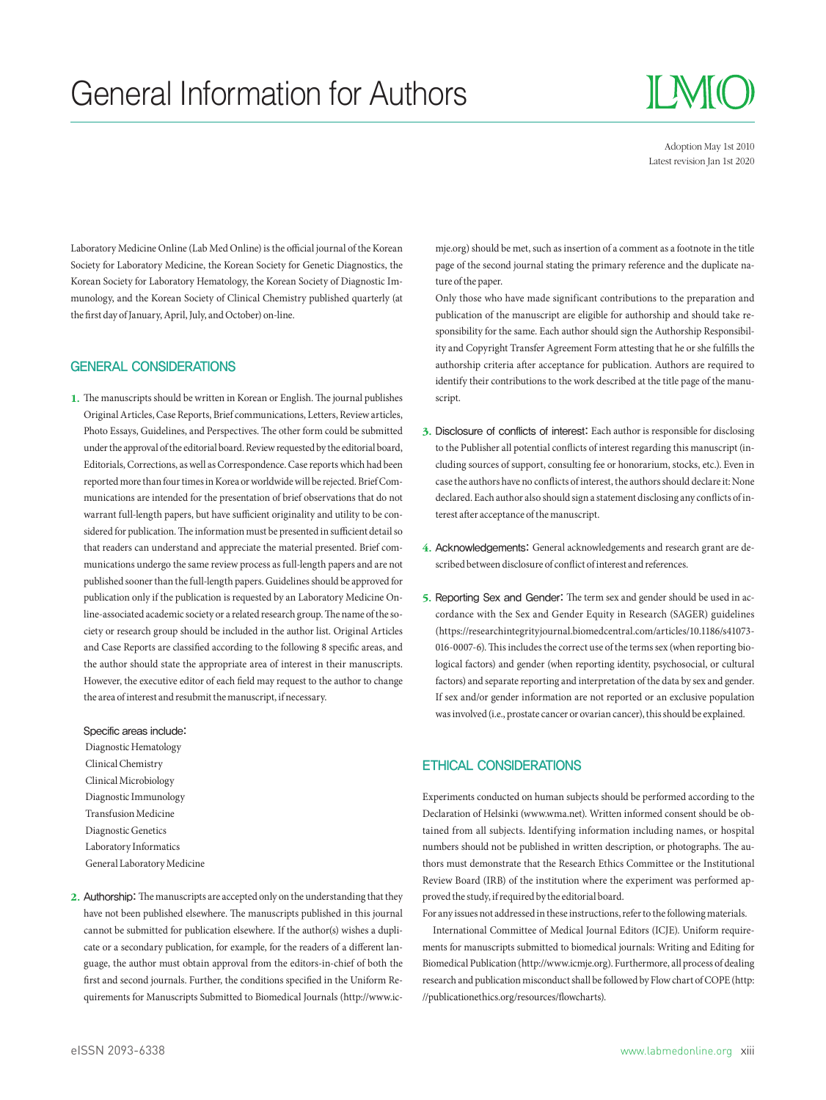# General Information for Authors

II MIC

Adoption May 1st 2010 Latest revision Jan 1st 2020

Laboratory Medicine Online (Lab Med Online) is the official journal of the Korean Society for Laboratory Medicine, the Korean Society for Genetic Diagnostics, the Korean Society for Laboratory Hematology, the Korean Society of Diagnostic Immunology, and the Korean Society of Clinical Chemistry published quarterly (at the first day of January, April, July, and October) on-line.

#### GENERAL CONSIDERATIONS

1. The manuscripts should be written in Korean or English. The journal publishes Original Articles, Case Reports, Brief communications, Letters, Review articles, Photo Essays, Guidelines, and Perspectives. The other form could be submitted under the approval of the editorial board. Review requested by the editorial board, Editorials, Corrections, as well as Correspondence. Case reports which had been reported more than four times in Korea or worldwide will be rejected. Brief Communications are intended for the presentation of brief observations that do not warrant full-length papers, but have sufficient originality and utility to be considered for publication. The information must be presented in sufficient detail so that readers can understand and appreciate the material presented. Brief communications undergo the same review process as full-length papers and are not published sooner than the full-length papers. Guidelines should be approved for publication only if the publication is requested by an Laboratory Medicine Online-associated academic society or a related research group. The name of the society or research group should be included in the author list. Original Articles and Case Reports are classified according to the following 8 specific areas, and the author should state the appropriate area of interest in their manuscripts. However, the executive editor of each field may request to the author to change the area of interest and resubmit the manuscript, if necessary.

#### Specific areas include:

 Diagnostic Hematology Clinical Chemistry Clinical Microbiology Diagnostic Immunology Transfusion Medicine Diagnostic Genetics Laboratory Informatics General Laboratory Medicine

2. Authorship: The manuscripts are accepted only on the understanding that they have not been published elsewhere. The manuscripts published in this journal cannot be submitted for publication elsewhere. If the author(s) wishes a duplicate or a secondary publication, for example, for the readers of a different language, the author must obtain approval from the editors-in-chief of both the first and second journals. Further, the conditions specified in the Uniform Requirements for Manuscripts Submitted to Biomedical Journals (http://www.icmje.org) should be met, such as insertion of a comment as a footnote in the title page of the second journal stating the primary reference and the duplicate nature of the paper.

 Only those who have made significant contributions to the preparation and publication of the manuscript are eligible for authorship and should take responsibility for the same. Each author should sign the Authorship Responsibility and Copyright Transfer Agreement Form attesting that he or she fullls the authorship criteria after acceptance for publication. Authors are required to identify their contributions to the work described at the title page of the manuscript.

- 3. Disclosure of conflicts of interest: Each author is responsible for disclosing to the Publisher all potential conflicts of interest regarding this manuscript (including sources of support, consulting fee or honorarium, stocks, etc.). Even in case the authors have no conflicts of interest, the authors should declare it: None declared. Each author also should sign a statement disclosing any conflicts of interest after acceptance of the manuscript.
- 4. Acknowledgements: General acknowledgements and research grant are described between disclosure of conflict of interest and references.
- 5. Reporting Sex and Gender: The term sex and gender should be used in accordance with the Sex and Gender Equity in Research (SAGER) guidelines (https://researchintegrityjournal.biomedcentral.com/articles/10.1186/s41073- 016-0007-6). This includes the correct use of the terms sex (when reporting biological factors) and gender (when reporting identity, psychosocial, or cultural factors) and separate reporting and interpretation of the data by sex and gender. If sex and/or gender information are not reported or an exclusive population was involved (i.e., prostate cancer or ovarian cancer), this should be explained.

### ETHICAL CONSIDERATIONS

Experiments conducted on human subjects should be performed according to the Declaration of Helsinki (www.wma.net). Written informed consent should be obtained from all subjects. Identifying information including names, or hospital numbers should not be published in written description, or photographs. The authors must demonstrate that the Research Ethics Committee or the Institutional Review Board (IRB) of the institution where the experiment was performed approved the study, if required by the editorial board.

For any issues not addressed in these instructions, refer to the following materials. International Committee of Medical Journal Editors (ICJE). Uniform requirements for manuscripts submitted to biomedical journals: Writing and Editing for Biomedical Publication (http://www.icmje.org). Furthermore, all process of dealing research and publication misconduct shall be followed by Flow chart of COPE (http: //publicationethics.org/resources/flowcharts)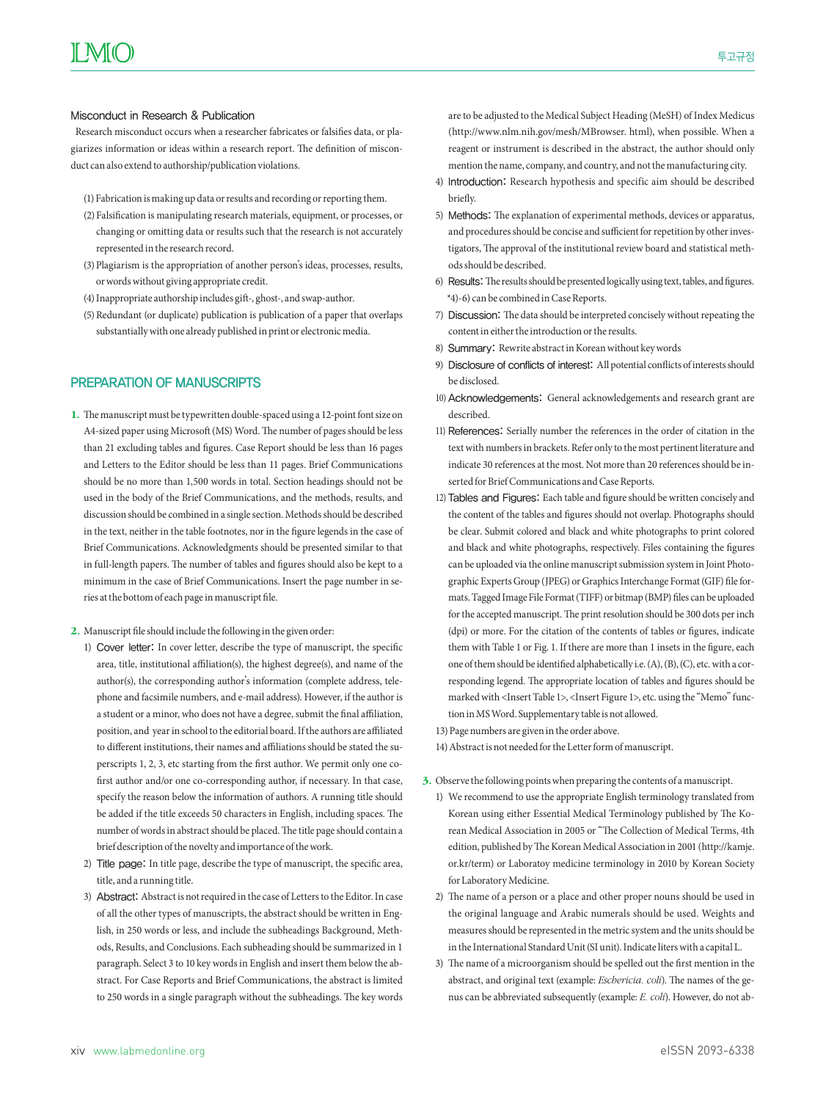Research misconduct occurs when a researcher fabricates or falsifies data, or plagiarizes information or ideas within a research report. The definition of misconduct can also extend to authorship/publication violations.

- (1) Fabrication is making up data or results and recording or reporting them.
- (2) Falsification is manipulating research materials, equipment, or processes, or changing or omitting data or results such that the research is not accurately represented in the research record.
- (3) Plagiarism is the appropriation of another person's ideas, processes, results, or words without giving appropriate credit.
- (4) Inappropriate authorship includes gift-, ghost-, and swap-author.
- (5) Redundant (or duplicate) publication is publication of a paper that overlaps substantially with one already published in print or electronic media.

# PREPARATION OF MANUSCRIPTS

- 1. The manuscript must be typewritten double-spaced using a 12-point font size on A4-sized paper using Microsoft (MS) Word. The number of pages should be less than 21 excluding tables and figures. Case Report should be less than 16 pages and Letters to the Editor should be less than 11 pages. Brief Communications should be no more than 1,500 words in total. Section headings should not be used in the body of the Brief Communications, and the methods, results, and discussion should be combined in a single section. Methods should be described in the text, neither in the table footnotes, nor in the figure legends in the case of Brief Communications. Acknowledgments should be presented similar to that in full-length papers. The number of tables and figures should also be kept to a minimum in the case of Brief Communications. Insert the page number in series at the bottom of each page in manuscript file.
- 2. Manuscript file should include the following in the given order:
	- 1) Cover letter: In cover letter, describe the type of manuscript, the specific area, title, institutional affiliation(s), the highest degree(s), and name of the author(s), the corresponding author's information (complete address, telephone and facsimile numbers, and e-mail address). However, if the author is a student or a minor, who does not have a degree, submit the final affiliation, position, and year in school to the editorial board. If the authors are affiliated to different institutions, their names and affiliations should be stated the superscripts 1, 2, 3, etc starting from the first author. We permit only one cofirst author and/or one co-corresponding author, if necessary. In that case, specify the reason below the information of authors. A running title should be added if the title exceeds 50 characters in English, including spaces. The number of words in abstract should be placed. The title page should contain a brief description of the novelty and importance of the work.
	- 2) Title page: In title page, describe the type of manuscript, the specific area, title, and a running title.
	- 3) Abstract: Abstract is not required in the case of Letters to the Editor. In case of all the other types of manuscripts, the abstract should be written in English, in 250 words or less, and include the subheadings Background, Methods, Results, and Conclusions. Each subheading should be summarized in 1 paragraph. Select 3 to 10 key words in English and insert them below the abstract. For Case Reports and Brief Communications, the abstract is limited to 250 words in a single paragraph without the subheadings. The key words

are to be adjusted to the Medical Subject Heading (MeSH) of Index Medicus (http://www.nlm.nih.gov/mesh/MBrowser. html), when possible. When a reagent or instrument is described in the abstract, the author should only mention the name, company, and country, and not the manufacturing city.

- 4) Introduction: Research hypothesis and specific aim should be described briefly
- 5) Methods: The explanation of experimental methods, devices or apparatus, and procedures should be concise and sufficient for repetition by other investigators, The approval of the institutional review board and statistical methods should be described.
- 6) Results: The results should be presented logically using text, tables, and figures. \*4)-6) can be combined in Case Reports.
- 7) Discussion: The data should be interpreted concisely without repeating the content in either the introduction or the results.
- 8) Summary: Rewrite abstract in Korean without key words
- 9) Disclosure of conflicts of interest: All potential conflicts of interests should be disclosed.
- 10) Acknowledgements: General acknowledgements and research grant are described.
- 11) References: Serially number the references in the order of citation in the text with numbers in brackets. Refer only to the most pertinent literature and indicate 30 references at the most. Not more than 20 references should be inserted for Brief Communications and Case Reports.
- 12) Tables and Figures: Each table and figure should be written concisely and the content of the tables and figures should not overlap. Photographs should be clear. Submit colored and black and white photographs to print colored and black and white photographs, respectively. Files containing the figures can be uploaded via the online manuscript submission system in Joint Photographic Experts Group (JPEG) or Graphics Interchange Format (GIF) file formats. Tagged Image File Format (TIFF) or bitmap (BMP) files can be uploaded for the accepted manuscript. The print resolution should be 300 dots per inch (dpi) or more. For the citation of the contents of tables or figures, indicate them with Table 1 or Fig. 1. If there are more than 1 insets in the figure, each one of them should be identified alphabetically i.e. (A), (B), (C), etc. with a corresponding legend. The appropriate location of tables and figures should be marked with <Insert Table 1>, <Insert Figure 1>, etc. using the "Memo" function in MS Word. Supplementary table is not allowed.

13) Page numbers are given in the order above.

- 14) Abstract is not needed for the Letter form of manuscript.
- 3. Observe the following points when preparing the contents of a manuscript.
	- 1) We recommend to use the appropriate English terminology translated from Korean using either Essential Medical Terminology published by The Korean Medical Association in 2005 or "The Collection of Medical Terms, 4th edition, published by The Korean Medical Association in 2001 (http://kamje. or.kr/term) or Laboratoy medicine terminology in 2010 by Korean Society for Laboratory Medicine.
	- 2) The name of a person or a place and other proper nouns should be used in the original language and Arabic numerals should be used. Weights and measures should be represented in the metric system and the units should be in the International Standard Unit (SI unit). Indicate liters with a capital L.
	- 3) The name of a microorganism should be spelled out the first mention in the abstract, and original text (example: *Eschericia. coli*). The names of the genus can be abbreviated subsequently (example: *E. coli*). However, do not ab-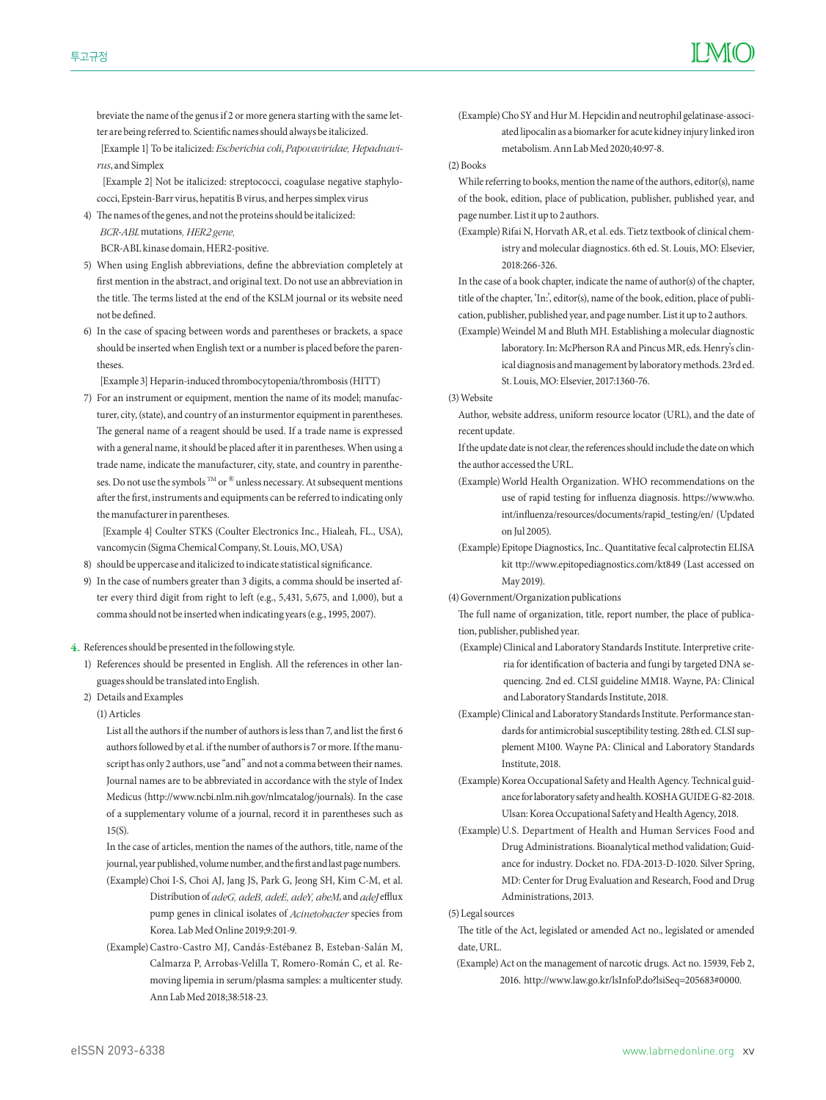breviate the name of the genus if 2 or more genera starting with the same letter are being referred to. Scientific names should always be italicized.

 [Example 1] To be italicized: *Escherichia coli*, *Papovaviridae, Hepadnavirus*, and Simplex

 [Example 2] Not be italicized: streptococci, coagulase negative staphylococci, Epstein-Barr virus, hepatitis B virus, and herpes simplex virus

4) The names of the genes, and not the proteins should be italicized: *BCR-ABL* mutations*, HER2 gene,* 

BCR-ABL kinase domain, HER2-positive.

- 5) When using English abbreviations, define the abbreviation completely at first mention in the abstract, and original text. Do not use an abbreviation in the title. The terms listed at the end of the KSLM journal or its website need not be defined
- 6) In the case of spacing between words and parentheses or brackets, a space should be inserted when English text or a number is placed before the parentheses.

[Example 3] Heparin-induced thrombocytopenia/thrombosis (HITT)

7) For an instrument or equipment, mention the name of its model; manufacturer, city, (state), and country of an insturmentor equipment in parentheses. The general name of a reagent should be used. If a trade name is expressed with a general name, it should be placed after it in parentheses. When using a trade name, indicate the manufacturer, city, state, and country in parentheses. Do not use the symbols  $^{\text{\tiny{\textsf{TM}}}}$  or  $^{\circledR}$  unless necessary. At subsequent mentions after the first, instruments and equipments can be referred to indicating only the manufacturer in parentheses.

 [Example 4] Coulter STKS (Coulter Electronics Inc., Hialeah, FL., USA), vancomycin (Sigma Chemical Company, St. Louis, MO, USA)

- 8) should be uppercase and italicized to indicate statistical significance.
- 9) In the case of numbers greater than 3 digits, a comma should be inserted after every third digit from right to left (e.g., 5,431, 5,675, and 1,000), but a comma should not be inserted when indicating years (e.g., 1995, 2007).

4. References should be presented in the following style.

- 1) References should be presented in English. All the references in other languages should be translated into English.
- 2) Details and Examples

(1) Articles

List all the authors if the number of authors is less than  $7$ , and list the first 6 authors followed by et al. if the number of authors is 7 or more. If the manuscript has only 2 authors, use "and" and not a comma between their names. Journal names are to be abbreviated in accordance with the style of Index Medicus (http://www.ncbi.nlm.nih.gov/nlmcatalog/journals). In the case of a supplementary volume of a journal, record it in parentheses such as 15(S).

 In the case of articles, mention the names of the authors, title, name of the journal, year published, volume number, and the first and last page numbers. (Example) Choi I-S, Choi AJ, Jang JS, Park G, Jeong SH, Kim C-M, et al.

- Distribution of *adeG, adeB, adeE, adeY, abeM*, and *adeJ* efflux pump genes in clinical isolates of *Acinetobacter* species from Korea. Lab Med Online 2019;9:201-9.
- (Example) Castro-Castro MJ, Candás-Estébanez B, Esteban-Salán M, Calmarza P, Arrobas-Velilla T, Romero-Román C, et al. Removing lipemia in serum/plasma samples: a multicenter study. Ann Lab Med 2018;38:518-23.
- (Example) Cho SY and Hur M. Hepcidin and neutrophil gelatinase-associated lipocalin as a biomarker for acute kidney injury linked iron metabolism. Ann Lab Med 2020;40:97-8.
- (2) Books
	- While referring to books, mention the name of the authors, editor(s), name of the book, edition, place of publication, publisher, published year, and page number. List it up to 2 authors.
	- (Example) Rifai N, Horvath AR, et al. eds. Tietz textbook of clinical chemistry and molecular diagnostics. 6th ed. St. Louis, MO: Elsevier, 2018:266-326.

 In the case of a book chapter, indicate the name of author(s) of the chapter, title of the chapter, 'In:', editor(s), name of the book, edition, place of publication, publisher, published year, and page number. List it up to 2 authors.

 (Example) Weindel M and Bluth MH. Establishing a molecular diagnostic laboratory. In: McPherson RA and Pincus MR, eds. Henry's clinical diagnosis and management by laboratory methods. 23rd ed. St. Louis, MO: Elsevier, 2017:1360-76.

(3) Website

 Author, website address, uniform resource locator (URL), and the date of recent update.

 If the update date is not clear, the references should include the date on which the author accessed the URL.

- (Example) World Health Organization. WHO recommendations on the use of rapid testing for influenza diagnosis. https://www.who. int/influenza/resources/documents/rapid\_testing/en/ (Updated on Jul 2005).
- (Example) Epitope Diagnostics, Inc.. Quantitative fecal calprotectin ELISA kit ttp://www.epitopediagnostics.com/kt849 (Last accessed on May 2019).
- (4) Government/Organization publications
	- The full name of organization, title, report number, the place of publication, publisher, published year.
	- (Example) Clinical and Laboratory Standards Institute. Interpretive criteria for identification of bacteria and fungi by targeted DNA sequencing. 2nd ed. CLSI guideline MM18. Wayne, PA: Clinical and Laboratory Standards Institute, 2018.
	- (Example) Clinical and Laboratory Standards Institute. Performance standards for antimicrobial susceptibility testing. 28th ed. CLSI supplement M100. Wayne PA: Clinical and Laboratory Standards Institute, 2018.
- (Example) Korea Occupational Safety and Health Agency. Technical guidance for laboratory safety and health. KOSHA GUIDE G-82-2018. Ulsan: Korea Occupational Safety and Health Agency, 2018.
- (Example) U.S. Department of Health and Human Services Food and Drug Administrations. Bioanalytical method validation; Guidance for industry. Docket no. FDA-2013-D-1020. Silver Spring, MD: Center for Drug Evaluation and Research, Food and Drug Administrations, 2013.

(5) Legal sources

The title of the Act, legislated or amended Act no., legislated or amended date, URL.

 (Example) Act on the management of narcotic drugs. Act no. 15939, Feb 2, 2016. http://www.law.go.kr/lsInfoP.do?lsiSeq=205683#0000.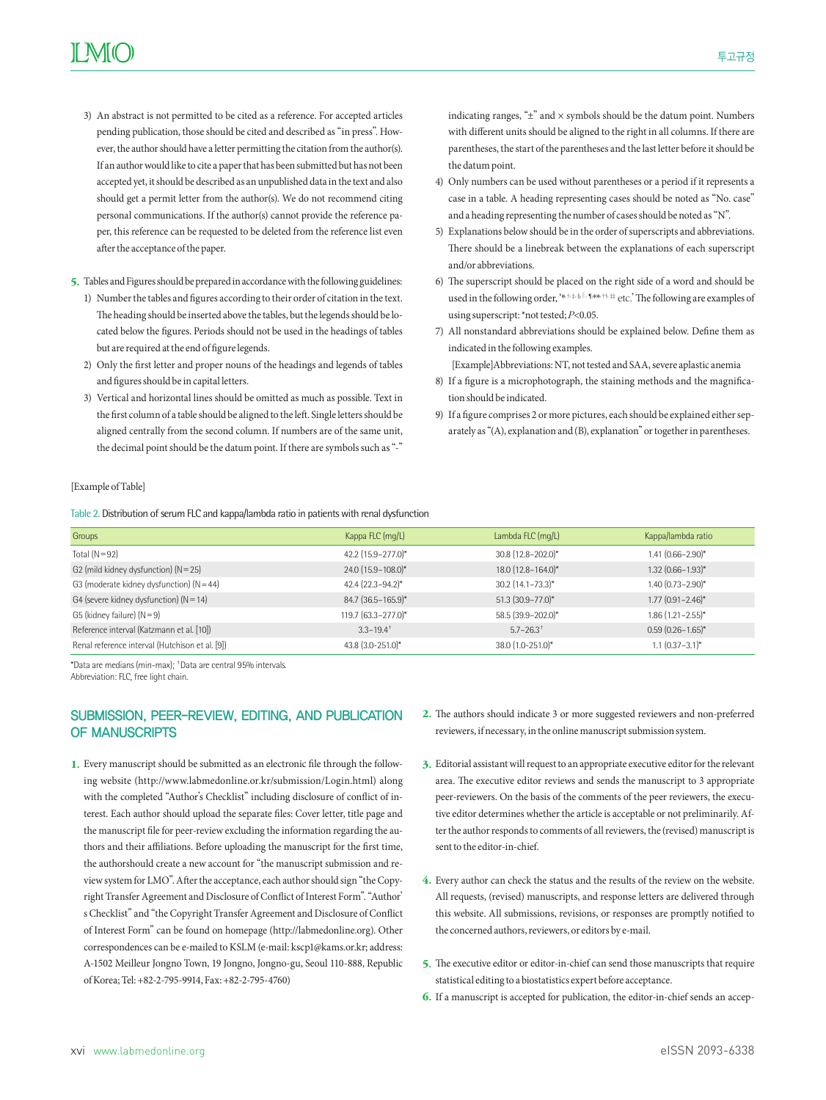- 3) An abstract is not permitted to be cited as a reference. For accepted articles pending publication, those should be cited and described as "in press". However, the author should have a letter permitting the citation from the author(s). If an author would like to cite a paper that has been submitted but has not been accepted yet, it should be described as an unpublished data in the text and also should get a permit letter from the author(s). We do not recommend citing personal communications. If the author(s) cannot provide the reference paper, this reference can be requested to be deleted from the reference list even after the acceptance of the paper.
- 5. Tables and Figures should be prepared in accordance with the following guidelines:
	- 1) Number the tables and figures according to their order of citation in the text. The heading should be inserted above the tables, but the legends should be located below the figures. Periods should not be used in the headings of tables but are required at the end of figure legends.
	- 2) Only the first letter and proper nouns of the headings and legends of tables and figures should be in capital letters
	- 3) Vertical and horizontal lines should be omitted as much as possible. Text in the first column of a table should be aligned to the left. Single letters should be aligned centrally from the second column. If numbers are of the same unit, the decimal point should be the datum point. If there are symbols such as "-"

indicating ranges, " $\pm$ " and  $\times$  symbols should be the datum point. Numbers with different units should be aligned to the right in all columns. If there are parentheses, the start of the parentheses and the last letter before it should be the datum point.

- 4) Only numbers can be used without parentheses or a period if it represents a case in a table. A heading representing cases should be noted as "No. case" and a heading representing the number of cases should be noted as "N".
- 5) Explanations below should be in the order of superscripts and abbreviations. There should be a linebreak between the explanations of each superscript and/or abbreviations.
- 6) The superscript should be placed on the right side of a word and should be used in the following order, '\* #, #, \$, ||, ¶, \* #, # # # # etc.' The following are examples of using superscript: \*not tested; *P*<0.05.
- 7) All nonstandard abbreviations should be explained below. Define them as indicated in the following examples.

[Example]Abbreviations: NT, not tested and SAA, severe aplastic anemia

- 8) If a figure is a microphotograph, the staining methods and the magnification should be indicated.
- 9) If a figure comprises 2 or more pictures, each should be explained either separately as "(A), explanation and (B), explanation" or together in parentheses.

#### [Example of Table]

Table 2. Distribution of serum FLC and kappa/lambda ratio in patients with renal dysfunction

| Groups                                          | Kappa FLC (mg/L)          | Lambda FLC (mg/L)         | Kappa/lambda ratio       |
|-------------------------------------------------|---------------------------|---------------------------|--------------------------|
| Total $(N=92)$                                  | 42.2 (15.9-277.0)*        | 30.8 (12.8-202.0)*        | $1.41$ $(0.66 - 2.90)$ * |
| G2 (mild kidney dysfunction) $(N=25)$           | 24.0 (15.9-108.0)*        | 18.0 (12.8-164.0)*        | $1.32$ (0.66-1.93)*      |
| G3 (moderate kidney dysfunction) $(N = 44)$     | $42.4(22.3 - 94.2)^*$     | $30.2$ (14.1-73.3)*       | $1.40(0.73 - 2.90)^{*}$  |
| G4 (severe kidney dysfunction) $(N = 14)$       | 84.7 (36.5-165.9)*        | 51.3 (30.9-77.0)*         | $1.77$ $(0.91 - 2.46)^*$ |
| G5 (kidney failure) $(N=9)$                     | 119.7 (63.3-277.0)*       | 58.5 (39.9-202.0)*        | $1.86$ (1.21-2.55)*      |
| Reference interval (Katzmann et al. [10])       | $3.3 - 19.4$ <sup>+</sup> | $5.7 - 26.3$ <sup>+</sup> | $0.59(0.26 - 1.65)^*$    |
| Renal reference interval (Hutchison et al. [9]) | 43.8 (3.0-251.0)*         | 38.0 (1.0-251.0)*         | $1.1$ $(0.37 - 3.1)^*$   |

\*Data are medians (min-max); † Data are central 95% intervals.

Abbreviation: FLC, free light chain.

# SUBMISSION, PEER-REVIEW, EDITING, AND PUBLICATION OF MANUSCRIPTS

- 1. Every manuscript should be submitted as an electronic file through the following website (http://www.labmedonline.or.kr/submission/Login.html) along with the completed "Author's Checklist" including disclosure of conflict of interest. Each author should upload the separate files: Cover letter, title page and the manuscript file for peer-review excluding the information regarding the authors and their affiliations. Before uploading the manuscript for the first time, the authorshould create a new account for "the manuscript submission and review system for LMO". After the acceptance, each author should sign "the Copyright Transfer Agreement and Disclosure of Conflict of Interest Form". "Author' s Checklist" and "the Copyright Transfer Agreement and Disclosure of Conflict of Interest Form" can be found on homepage (http://labmedonline.org). Other correspondences can be e-mailed to KSLM (e-mail: kscp1@kams.or.kr; address: A-1502 Meilleur Jongno Town, 19 Jongno, Jongno-gu, Seoul 110-888, Republic of Korea; Tel: +82-2-795-9914, Fax: +82-2-795-4760)
- 2. The authors should indicate 3 or more suggested reviewers and non-preferred reviewers, if necessary, in the online manuscript submission system.
- 3. Editorial assistant will request to an appropriate executive editor for the relevant area. The executive editor reviews and sends the manuscript to 3 appropriate peer-reviewers. On the basis of the comments of the peer reviewers, the executive editor determines whether the article is acceptable or not preliminarily. After the author responds to comments of all reviewers, the (revised) manuscript is sent to the editor-in-chief.
- 4. Every author can check the status and the results of the review on the website. All requests, (revised) manuscripts, and response letters are delivered through this website. All submissions, revisions, or responses are promptly notified to the concerned authors, reviewers, or editors by e-mail.
- 5. The executive editor or editor-in-chief can send those manuscripts that require statistical editing to a biostatistics expert before acceptance.
- 6. If a manuscript is accepted for publication, the editor-in-chief sends an accep-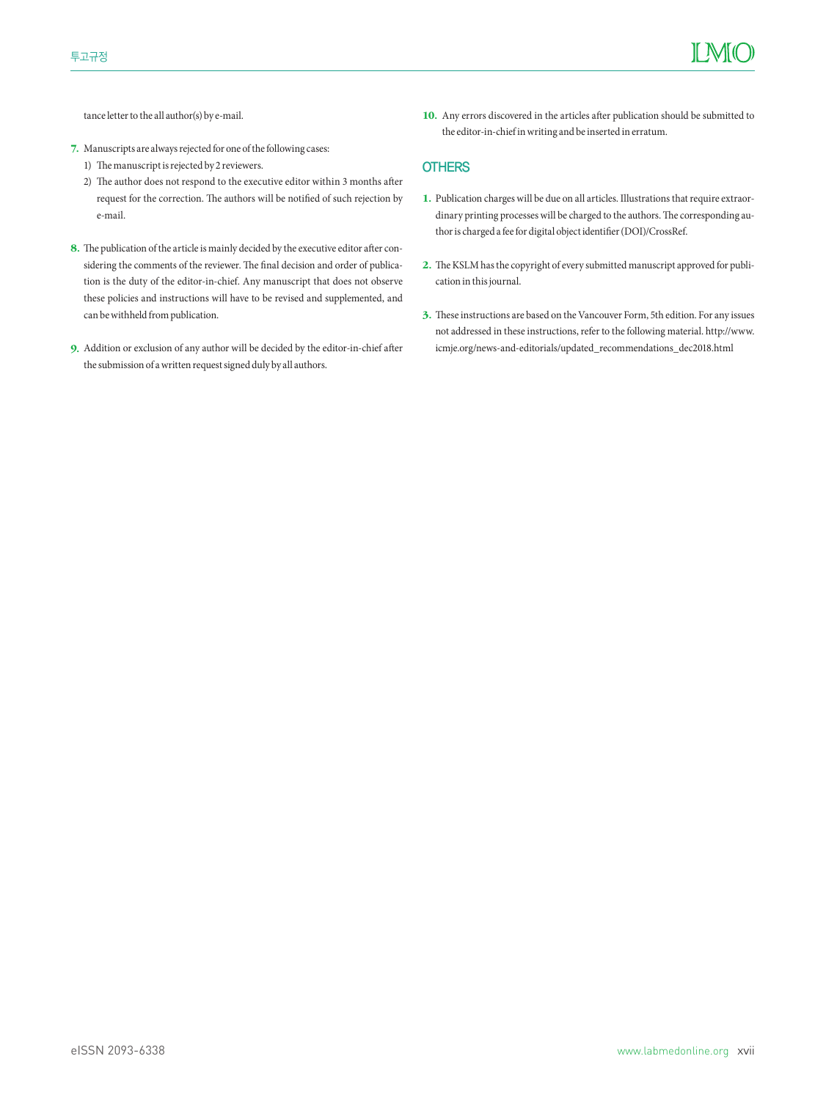tance letter to the all author(s) by e-mail.

- 7. Manuscripts are always rejected for one of the following cases:
	- 1) The manuscript is rejected by 2 reviewers.
	- 2) The author does not respond to the executive editor within 3 months after request for the correction. The authors will be notified of such rejection by e-mail.
- 8. The publication of the article is mainly decided by the executive editor after considering the comments of the reviewer. The final decision and order of publication is the duty of the editor-in-chief. Any manuscript that does not observe these policies and instructions will have to be revised and supplemented, and can be withheld from publication.
- 9. Addition or exclusion of any author will be decided by the editor-in-chief after the submission of a written request signed duly by all authors.

10. Any errors discovered in the articles after publication should be submitted to the editor-in-chief in writing and be inserted in erratum.

# **OTHERS**

- 1. Publication charges will be due on all articles. Illustrations that require extraordinary printing processes will be charged to the authors. The corresponding author is charged a fee for digital object identifier (DOI)/CrossRef.
- 2. The KSLM has the copyright of every submitted manuscript approved for publication in this journal.
- 3. These instructions are based on the Vancouver Form, 5th edition. For any issues not addressed in these instructions, refer to the following material. [http://www.](http://www.icmje.org/news-and-editorials/updated_recommendations_dec2018.html) [icmje.org/news-and-editorials/updated\\_recommendations\\_dec2018.html](http://www.icmje.org/news-and-editorials/updated_recommendations_dec2018.html)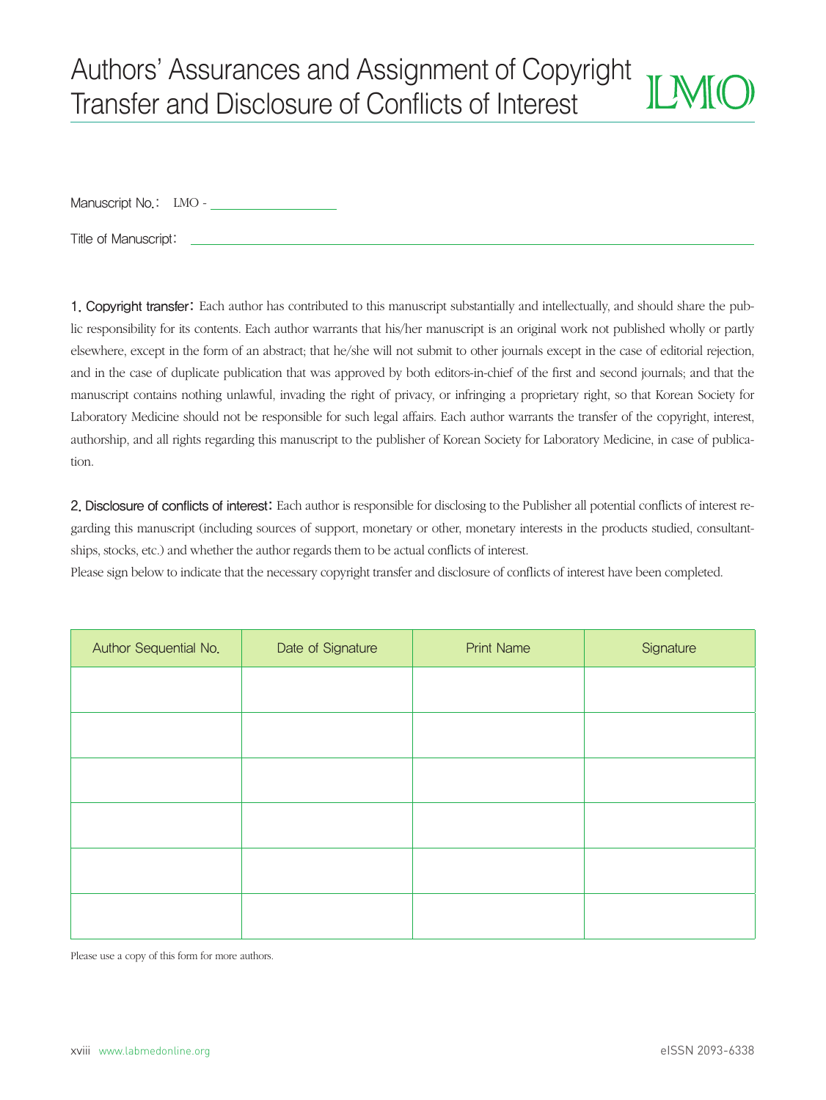# Authors' Assurances and Assignment of Copyright **IF MFIC** Transfer and Disclosure of Conflicts of Interest

Manuscript No.: LMO - \_\_\_\_\_\_\_\_\_\_\_

Title of Manuscript:

1. Copyright transfer: Each author has contributed to this manuscript substantially and intellectually, and should share the public responsibility for its contents. Each author warrants that his/her manuscript is an original work not published wholly or partly elsewhere, except in the form of an abstract; that he/she will not submit to other journals except in the case of editorial rejection, and in the case of duplicate publication that was approved by both editors-in-chief of the first and second journals; and that the manuscript contains nothing unlawful, invading the right of privacy, or infringing a proprietary right, so that Korean Society for Laboratory Medicine should not be responsible for such legal affairs. Each author warrants the transfer of the copyright, interest, authorship, and all rights regarding this manuscript to the publisher of Korean Society for Laboratory Medicine, in case of publication.

2. Disclosure of conflicts of interest: Each author is responsible for disclosing to the Publisher all potential conicts of interest regarding this manuscript (including sources of support, monetary or other, monetary interests in the products studied, consultantships, stocks, etc.) and whether the author regards them to be actual conflicts of interest.

Please sign below to indicate that the necessary copyright transfer and disclosure of conflicts of interest have been completed.

| Author Sequential No. | Date of Signature | <b>Print Name</b> | Signature |
|-----------------------|-------------------|-------------------|-----------|
|                       |                   |                   |           |
|                       |                   |                   |           |
|                       |                   |                   |           |
|                       |                   |                   |           |
|                       |                   |                   |           |
|                       |                   |                   |           |
|                       |                   |                   |           |

Please use a copy of this form for more authors.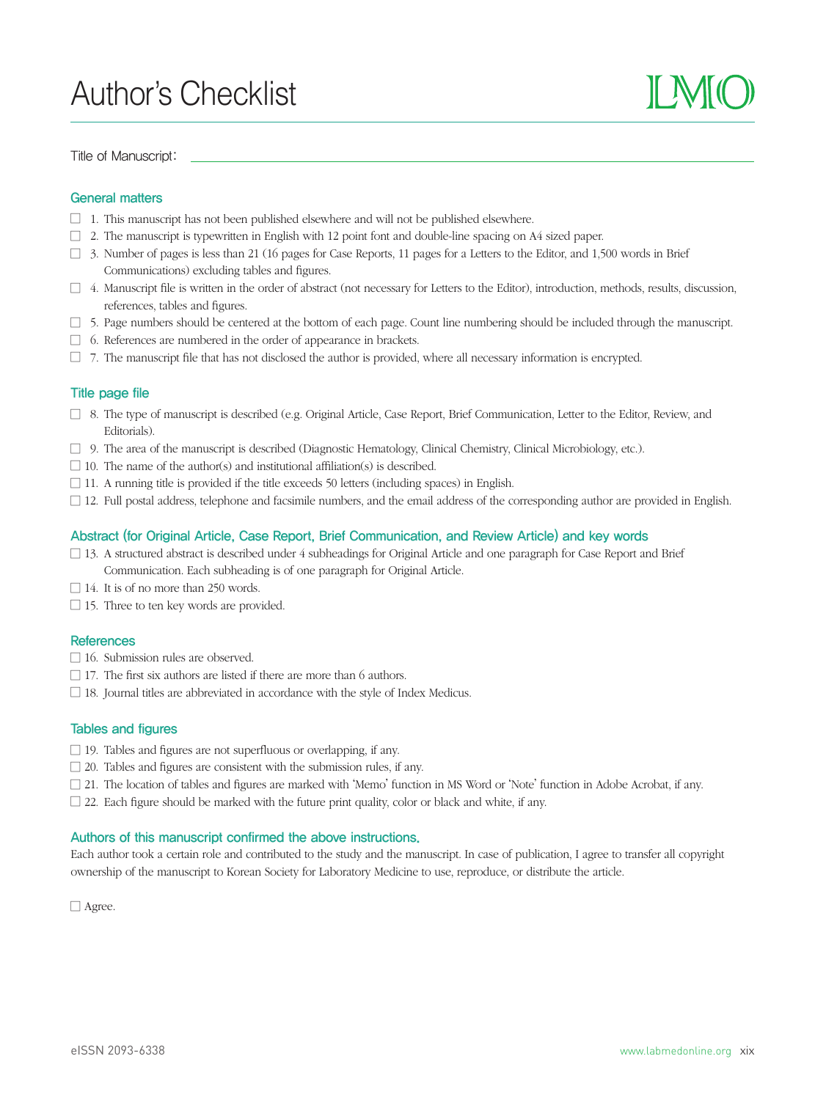# Author's Checklist

Title of Manuscript:



# General matters

- $\Box$  1. This manuscript has not been published elsewhere and will not be published elsewhere.
- $\Box$  2. The manuscript is typewritten in English with 12 point font and double-line spacing on A4 sized paper.
- $\Box$  3. Number of pages is less than 21 (16 pages for Case Reports, 11 pages for a Letters to the Editor, and 1,500 words in Brief Communications) excluding tables and figures.
- $\Box$  4. Manuscript file is written in the order of abstract (not necessary for Letters to the Editor), introduction, methods, results, discussion, references, tables and figures.
- $\Box$  5. Page numbers should be centered at the bottom of each page. Count line numbering should be included through the manuscript.
- $\Box$  6. References are numbered in the order of appearance in brackets.
- $\Box$  7. The manuscript file that has not disclosed the author is provided, where all necessary information is encrypted.

### Title page file

- $\Box$  8. The type of manuscript is described (e.g. Original Article, Case Report, Brief Communication, Letter to the Editor, Review, and Editorials).
- $\Box$  9. The area of the manuscript is described (Diagnostic Hematology, Clinical Chemistry, Clinical Microbiology, etc.).
- $\Box$  10. The name of the author(s) and institutional affiliation(s) is described.
- $\Box$  11. A running title is provided if the title exceeds 50 letters (including spaces) in English.
- $\Box$  12. Full postal address, telephone and facsimile numbers, and the email address of the corresponding author are provided in English.

# Abstract (for Original Article, Case Report, Brief Communication, and Review Article) and key words

- $\Box$  13. A structured abstract is described under 4 subheadings for Original Article and one paragraph for Case Report and Brief Communication. Each subheading is of one paragraph for Original Article.
- $\Box$  14. It is of no more than 250 words.
- $\Box$  15. Three to ten key words are provided.

### **References**

- $\Box$  16. Submission rules are observed.
- $\Box$  17. The first six authors are listed if there are more than 6 authors.
- $\Box$  18. Journal titles are abbreviated in accordance with the style of Index Medicus.

### Tables and figures

- $\Box$  19. Tables and figures are not superfluous or overlapping, if any.
- $\Box$  20. Tables and figures are consistent with the submission rules, if any.
- $\Box$  21. The location of tables and figures are marked with 'Memo' function in MS Word or 'Note' function in Adobe Acrobat, if any.
- $\Box$  22. Each figure should be marked with the future print quality, color or black and white, if any.

# Authors of this manuscript confirmed the above instructions.

Each author took a certain role and contributed to the study and the manuscript. In case of publication, I agree to transfer all copyright ownership of the manuscript to Korean Society for Laboratory Medicine to use, reproduce, or distribute the article.

Agree.